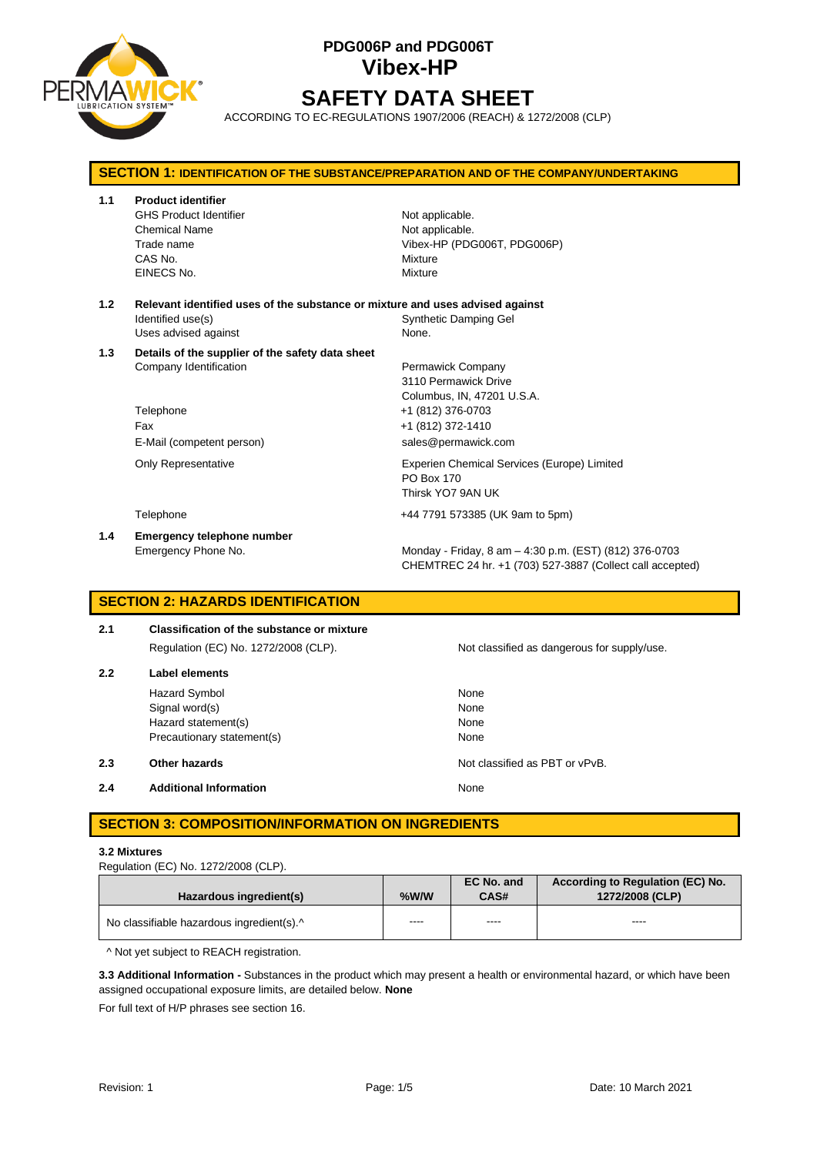

# **PDG006P and PDG006T Vibex-HP SAFETY DATA SHEET**

ACCORDING TO EC-REGULATIONS 1907/2006 (REACH) & 1272/2008 (CLP)

## **SECTION 1: IDENTIFICATION OF THE SUBSTANCE/PREPARATION AND OF THE COMPANY/UNDERTAKING 1.1 Product identifier** GHS Product Identifier Not applicable. Chemical Name Not applicable. Trade name Vibex-HP (PDG006T, PDG006P) CAS No. **Mixture** EINECS No. 2008 2009 2009 2009 2009 2009 2012 2022 2030 2040 2052 2053 2062 2073 2074 2075 2076 2077 2078 2079 **1.2 Relevant identified uses of the substance or mixture and uses advised against** Identified use(s) Synthetic Damping Gel Uses advised against None. **1.3 Details of the supplier of the safety data sheet** Company Identification **Permawick Company** 3110 Permawick Drive Columbus, IN, 47201 U.S.A. Telephone +1 (812) 376-0703 Fax +1 (812) 372-1410 E-Mail (competent person) sales@permawick.com Only Representative Experien Chemical Services (Europe) Limited PO Box 170 Thirsk YO7 9AN UK Telephone +44 7791 573385 (UK 9am to 5pm) **1.4 Emergency telephone number** Emergency Phone No. **Monday - Friday, 8 am – 4:30 p.m. (EST) (812) 376-0703** CHEMTREC 24 hr. +1 (703) 527-3887 (Collect call accepted)

### **SECTION 2: HAZARDS IDENTIFICATION**

## **2.1 Classification of the substance or mixture** Regulation (EC) No. 1272/2008 (CLP). Not classified as dangerous for supply/use. **2.2 Label elements** Hazard Symbol None Signal word(s) None Hazard statement(s) None Precautionary statement(s) None **2.3 Other hazards Details Other hazards Other hazards Not classified as PBT or vPvB. 2.4 Additional Information None**

## **SECTION 3: COMPOSITION/INFORMATION ON INGREDIENTS**

#### **3.2 Mixtures**

| Regulation (EC) No. 1272/2008 (CLP). |  |  |
|--------------------------------------|--|--|
|--------------------------------------|--|--|

| Hazardous ingredient(s)                   | %W/W | EC No. and<br><b>CAS#</b> | According to Regulation (EC) No.<br>1272/2008 (CLP) |
|-------------------------------------------|------|---------------------------|-----------------------------------------------------|
| No classifiable hazardous ingredient(s).^ | ---- | ----                      | ----                                                |

^ Not yet subject to REACH registration.

**3.3 Additional Information -** Substances in the product which may present a health or environmental hazard, or which have been assigned occupational exposure limits, are detailed below. **None**

For full text of H/P phrases see section 16.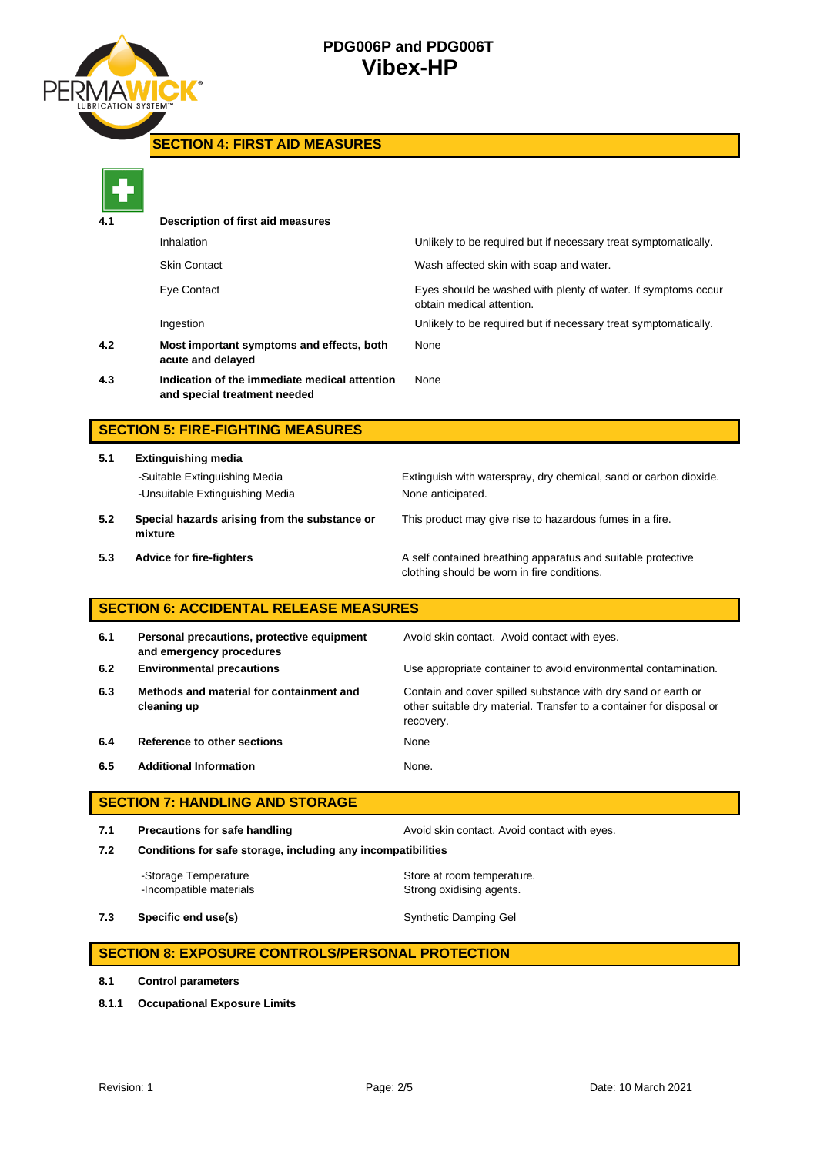

**SECTION 4: FIRST AID MEASURES**

|                                        | Description of first aid measures                                             |                                                                                                                                                    |  |  |  |
|----------------------------------------|-------------------------------------------------------------------------------|----------------------------------------------------------------------------------------------------------------------------------------------------|--|--|--|
|                                        | Inhalation                                                                    | Unlikely to be required but if necessary treat symptomatically.                                                                                    |  |  |  |
|                                        | <b>Skin Contact</b>                                                           | Wash affected skin with soap and water.                                                                                                            |  |  |  |
|                                        | Eye Contact                                                                   | Eyes should be washed with plenty of water. If symptoms occur<br>obtain medical attention.                                                         |  |  |  |
|                                        | Ingestion                                                                     | Unlikely to be required but if necessary treat symptomatically.                                                                                    |  |  |  |
| 4.2                                    | Most important symptoms and effects, both<br>acute and delayed                | None                                                                                                                                               |  |  |  |
| 4.3                                    | Indication of the immediate medical attention<br>and special treatment needed | None                                                                                                                                               |  |  |  |
|                                        | <b>SECTION 5: FIRE-FIGHTING MEASURES</b>                                      |                                                                                                                                                    |  |  |  |
| 5.1                                    | <b>Extinguishing media</b>                                                    |                                                                                                                                                    |  |  |  |
|                                        | -Suitable Extinguishing Media<br>-Unsuitable Extinguishing Media              | Extinguish with waterspray, dry chemical, sand or carbon dioxide.<br>None anticipated.                                                             |  |  |  |
| 5.2                                    | Special hazards arising from the substance or<br>mixture                      | This product may give rise to hazardous fumes in a fire.                                                                                           |  |  |  |
| 5.3                                    | <b>Advice for fire-fighters</b>                                               | A self contained breathing apparatus and suitable protective<br>clothing should be worn in fire conditions.                                        |  |  |  |
|                                        | <b>SECTION 6: ACCIDENTAL RELEASE MEASURES</b>                                 |                                                                                                                                                    |  |  |  |
| 6.1                                    | Personal precautions, protective equipment<br>and emergency procedures        | Avoid skin contact. Avoid contact with eyes.                                                                                                       |  |  |  |
| 6.2                                    | <b>Environmental precautions</b>                                              | Use appropriate container to avoid environmental contamination.                                                                                    |  |  |  |
| 6.3                                    | Methods and material for containment and<br>cleaning up                       | Contain and cover spilled substance with dry sand or earth or<br>other suitable dry material. Transfer to a container for disposal or<br>recovery. |  |  |  |
| 6.4                                    | Reference to other sections                                                   | None                                                                                                                                               |  |  |  |
| 6.5                                    | <b>Additional Information</b>                                                 | None.                                                                                                                                              |  |  |  |
| <b>SECTION 7: HANDLING AND STORAGE</b> |                                                                               |                                                                                                                                                    |  |  |  |
| 7.1                                    | <b>Precautions for safe handling</b>                                          | Avoid skin contact. Avoid contact with eyes.                                                                                                       |  |  |  |
| 7.2                                    | Conditions for safe storage, including any incompatibilities                  |                                                                                                                                                    |  |  |  |
|                                        | -Storage Temperature<br>-Incompatible materials                               | Store at room temperature.<br>Strong oxidising agents.                                                                                             |  |  |  |
| 7.3                                    | Specific end use(s)                                                           | Synthetic Damping Gel                                                                                                                              |  |  |  |
|                                        | <b>SECTION 8: EXPOSURE CONTROLS/PERSONAL PROTECTION</b>                       |                                                                                                                                                    |  |  |  |

**8.1 Control parameters**

**8.1.1 Occupational Exposure Limits**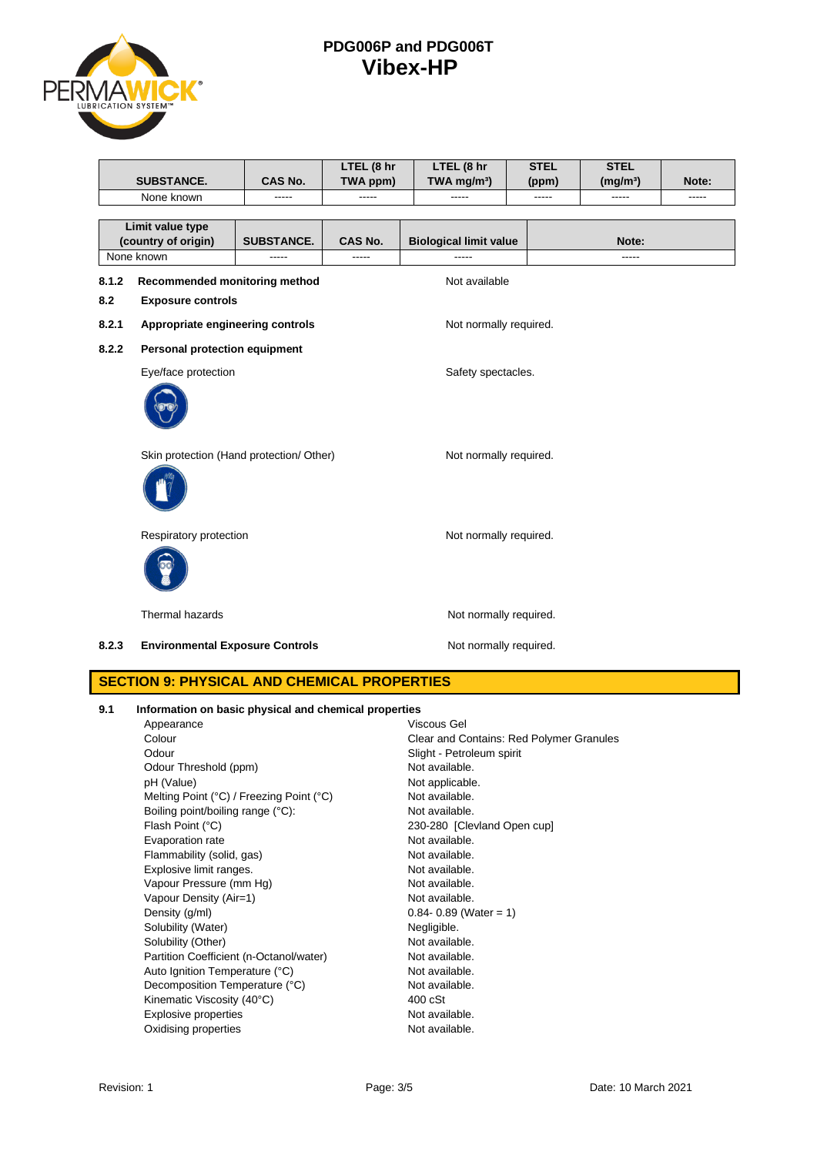

|                                          |                                                                            |                        | LTEL (8 hr             | LTEL (8 hr                    | <b>STEL</b> | <b>STEL</b>          |       |
|------------------------------------------|----------------------------------------------------------------------------|------------------------|------------------------|-------------------------------|-------------|----------------------|-------|
|                                          | <b>SUBSTANCE.</b>                                                          | CAS No.                | TWA ppm)               | TWA mg/m <sup>3</sup> )       | (ppm)       | (mg/m <sup>3</sup> ) | Note: |
|                                          | None known                                                                 |                        |                        |                               |             |                      |       |
|                                          | Limit value type<br>(country of origin)                                    | <b>SUBSTANCE.</b>      | <b>CAS No.</b>         | <b>Biological limit value</b> |             | Note:                |       |
|                                          | None known                                                                 | -----                  | $- - - - -$            |                               | -----       |                      |       |
| 8.1.2<br>8.2                             | Recommended monitoring method<br>Not available<br><b>Exposure controls</b> |                        |                        |                               |             |                      |       |
| 8.2.1                                    | Appropriate engineering controls<br>Not normally required.                 |                        |                        |                               |             |                      |       |
| 8.2.2                                    | Personal protection equipment                                              |                        |                        |                               |             |                      |       |
|                                          | Eye/face protection                                                        |                        | Safety spectacles.     |                               |             |                      |       |
|                                          |                                                                            |                        |                        |                               |             |                      |       |
| Skin protection (Hand protection/ Other) |                                                                            | Not normally required. |                        |                               |             |                      |       |
|                                          |                                                                            |                        |                        |                               |             |                      |       |
|                                          | Respiratory protection                                                     |                        | Not normally required. |                               |             |                      |       |
|                                          |                                                                            |                        |                        |                               |             |                      |       |
|                                          | Thermal hazards                                                            |                        |                        | Not normally required.        |             |                      |       |
| 8.2.3                                    | <b>Environmental Exposure Controls</b>                                     |                        |                        | Not normally required.        |             |                      |       |
|                                          |                                                                            |                        |                        |                               |             |                      |       |

## **SECTION 9: PHYSICAL AND CHEMICAL PROPERTIES**

| 9.1 | Information on basic physical and chemical properties |             |  |
|-----|-------------------------------------------------------|-------------|--|
|     | Annesrance                                            | Viecous Gal |  |

| Appearance                               | viscous Gei                              |
|------------------------------------------|------------------------------------------|
| Colour                                   | Clear and Contains: Red Polymer Granules |
| Odour                                    | Slight - Petroleum spirit                |
| Odour Threshold (ppm)                    | Not available.                           |
| pH (Value)                               | Not applicable.                          |
| Melting Point (°C) / Freezing Point (°C) | Not available.                           |
| Boiling point/boiling range (°C):        | Not available.                           |
| Flash Point (°C)                         | 230-280 [Clevland Open cup]              |
| Evaporation rate                         | Not available.                           |
| Flammability (solid, gas)                | Not available.                           |
| Explosive limit ranges.                  | Not available.                           |
| Vapour Pressure (mm Hg)                  | Not available.                           |
| Vapour Density (Air=1)                   | Not available.                           |
| Density (g/ml)                           | $0.84 - 0.89$ (Water = 1)                |
| Solubility (Water)                       | Negligible.                              |
| Solubility (Other)                       | Not available.                           |
| Partition Coefficient (n-Octanol/water)  | Not available.                           |
| Auto Ignition Temperature (°C)           | Not available.                           |
| Decomposition Temperature (°C)           | Not available.                           |
| Kinematic Viscosity (40°C)               | $400 \text{ cSt}$                        |
| <b>Explosive properties</b>              | Not available.                           |
| Oxidising properties                     | Not available.                           |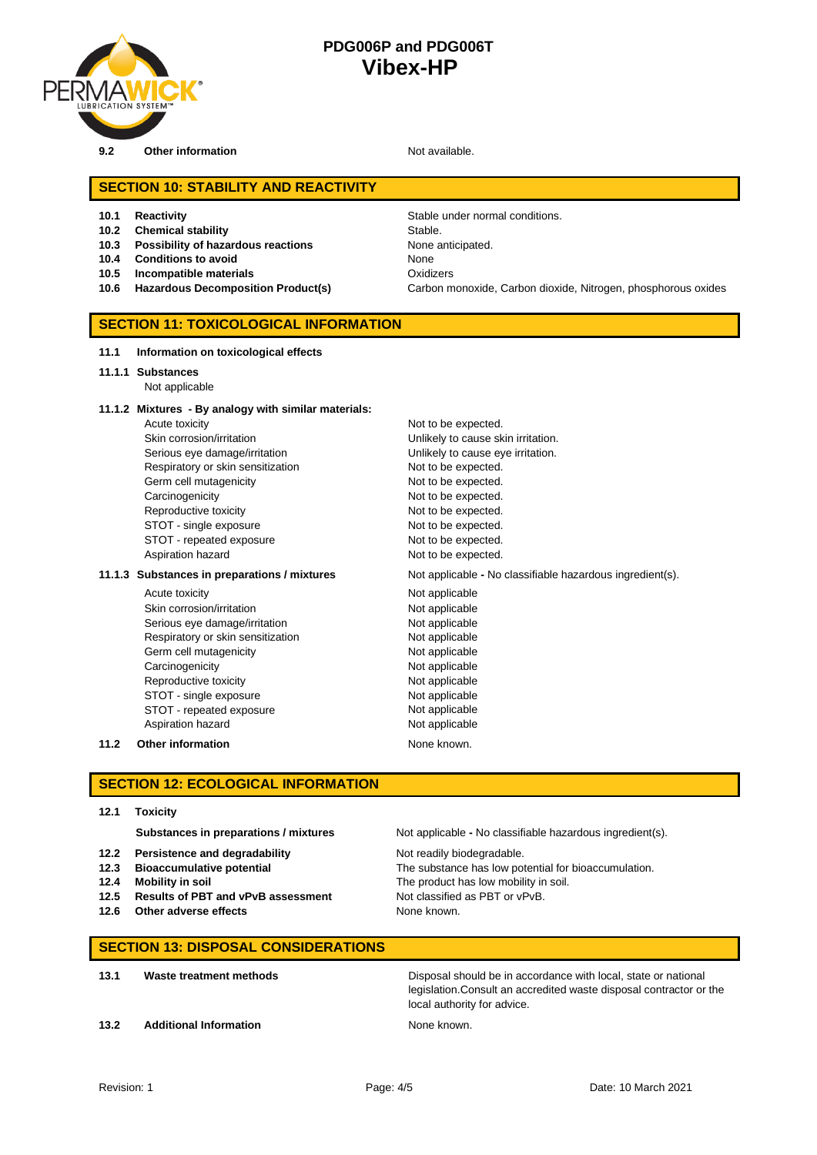

**9.2 Other information Not available.** 

## **SECTION 10: STABILITY AND REACTIVITY**

- 
- **10.2 Chemical stability** Stable.
- **10.3 Possibility of hazardous reactions** None anticipated.
- **10.4 Conditions to avoid** None
- **10.5 Incompatible materials** Oxidizers
- 

**10.1 Reactivity 10.1 Reactivity Stable under normal conditions. 10.6 Hazardous Decomposition Product(s)** Carbon monoxide, Carbon dioxide, Nitrogen, phosphorous oxides

### **SECTION 11: TOXICOLOGICAL INFORMATION**

#### **11.1 Information on toxicological effects**

- **11.1.1 Substances**
	- Not applicable

#### **11.1.2 Mixtures - By analogy with similar materials:**

Acute toxicity **Not to be expected.** Skin corrosion/irritation **Unlikely to cause skin irritation**. Serious eye damage/irritation **Exercise 2018** Unlikely to cause eye irritation. Respiratory or skin sensitization Not to be expected. Germ cell mutagenicity expected. Carcinogenicity **Not to be expected.** Reproductive toxicity Not to be expected. STOT - single exposure Not to be expected. STOT - repeated exposure Not to be expected. Aspiration hazard **Not to be expected.** 

#### **11.1.3** Substances in preparations / mixtures Not applicable - No classifiable hazardous ingredient(s).

Acute toxicity **Not applicable** Skin corrosion/irritation Not applicable Serious eye damage/irritation Not applicable Respiratory or skin sensitization Not applicable Germ cell mutagenicity **Not applicable** Carcinogenicity **Not applicable** Not applicable Reproductive toxicity Not applicable STOT - single exposure Not applicable STOT - repeated exposure Not applicable Aspiration hazard Not applicable

**11.2 Other information** None known.

#### **SECTION 12: ECOLOGICAL INFORMATION**

**12.1 Toxicity**

- **12.2 Persistence and degradability** Not readily biodegradable.
- 
- 
- **12.5 Results of PBT and vPvB assessment** Not classified as PBT or vPvB.
- **12.6 Other adverse effects** None known.

**Substances in preparations / mixtures** Not applicable **-** No classifiable hazardous ingredient(s).

**12.3 Bioaccumulative potential The substance has low potential for bioaccumulation. 12.4 Mobility in soil** The product has low mobility in soil.

#### **SECTION 13: DISPOSAL CONSIDERATIONS**

**13.1 Waste treatment methods Disposal should be in accordance with local, state or national** legislation.Consult an accredited waste disposal contractor or the local authority for advice.

**13.2 Additional Information None known.** None known.